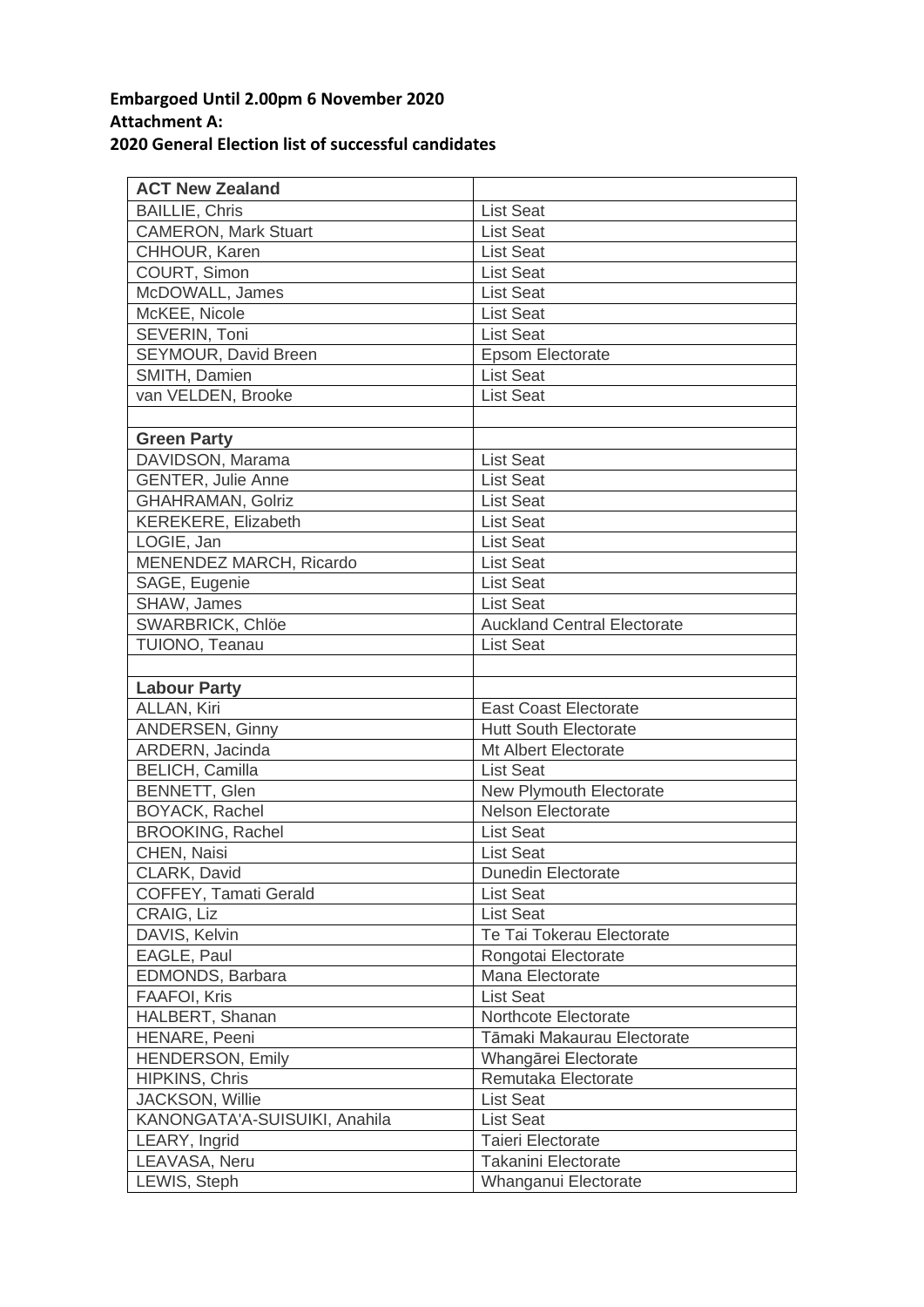## **Embargoed Until 2.00pm 6 November 2020 Attachment A: 2020 General Election list of successful candidates**

| <b>ACT New Zealand</b>         |                                    |
|--------------------------------|------------------------------------|
| <b>BAILLIE, Chris</b>          | <b>List Seat</b>                   |
| <b>CAMERON, Mark Stuart</b>    | <b>List Seat</b>                   |
| CHHOUR, Karen                  | <b>List Seat</b>                   |
| COURT, Simon                   | <b>List Seat</b>                   |
| McDOWALL, James                | <b>List Seat</b>                   |
| McKEE, Nicole                  | <b>List Seat</b>                   |
| SEVERIN, Toni                  | <b>List Seat</b>                   |
| SEYMOUR, David Breen           | <b>Epsom Electorate</b>            |
| SMITH, Damien                  | <b>List Seat</b>                   |
| van VELDEN, Brooke             | <b>List Seat</b>                   |
|                                |                                    |
| <b>Green Party</b>             |                                    |
| DAVIDSON, Marama               | <b>List Seat</b>                   |
| <b>GENTER, Julie Anne</b>      | <b>List Seat</b>                   |
| GHAHRAMAN, Golriz              | <b>List Seat</b>                   |
| KEREKERE, Elizabeth            | <b>List Seat</b>                   |
| LOGIE, Jan                     | <b>List Seat</b>                   |
| <b>MENENDEZ MARCH, Ricardo</b> | <b>List Seat</b>                   |
| SAGE, Eugenie                  | <b>List Seat</b>                   |
| SHAW, James                    | <b>List Seat</b>                   |
| SWARBRICK, Chlöe               | <b>Auckland Central Electorate</b> |
| TUIONO, Teanau                 | <b>List Seat</b>                   |
|                                |                                    |
| <b>Labour Party</b>            |                                    |
| ALLAN, Kiri                    | <b>East Coast Electorate</b>       |
| <b>ANDERSEN, Ginny</b>         | <b>Hutt South Electorate</b>       |
| ARDERN, Jacinda                | Mt Albert Electorate               |
| <b>BELICH, Camilla</b>         | <b>List Seat</b>                   |
| <b>BENNETT, Glen</b>           | New Plymouth Electorate            |
| BOYACK, Rachel                 | <b>Nelson Electorate</b>           |
| <b>BROOKING, Rachel</b>        | <b>List Seat</b>                   |
| CHEN, Naisi                    | <b>List Seat</b>                   |
| CLARK, David                   | <b>Dunedin Electorate</b>          |
| <b>COFFEY, Tamati Gerald</b>   | <b>List Seat</b>                   |
| CRAIG, Liz                     | <b>List Seat</b>                   |
| DAVIS, Kelvin                  | Te Tai Tokerau Electorate          |
| EAGLE, Paul                    | Rongotai Electorate                |
| EDMONDS, Barbara               | Mana Electorate                    |
| <b>FAAFOI, Kris</b>            | <b>List Seat</b>                   |
| HALBERT, Shanan                | Northcote Electorate               |
| HENARE, Peeni                  | Tāmaki Makaurau Electorate         |
| <b>HENDERSON, Emily</b>        | Whangārei Electorate               |
| HIPKINS, Chris                 | Remutaka Electorate                |
| JACKSON, Willie                | <b>List Seat</b>                   |
| KANONGATA'A-SUISUIKI, Anahila  | <b>List Seat</b>                   |
| LEARY, Ingrid                  | Taieri Electorate                  |
| LEAVASA, Neru                  | <b>Takanini Electorate</b>         |
| LEWIS, Steph                   | Whanganui Electorate               |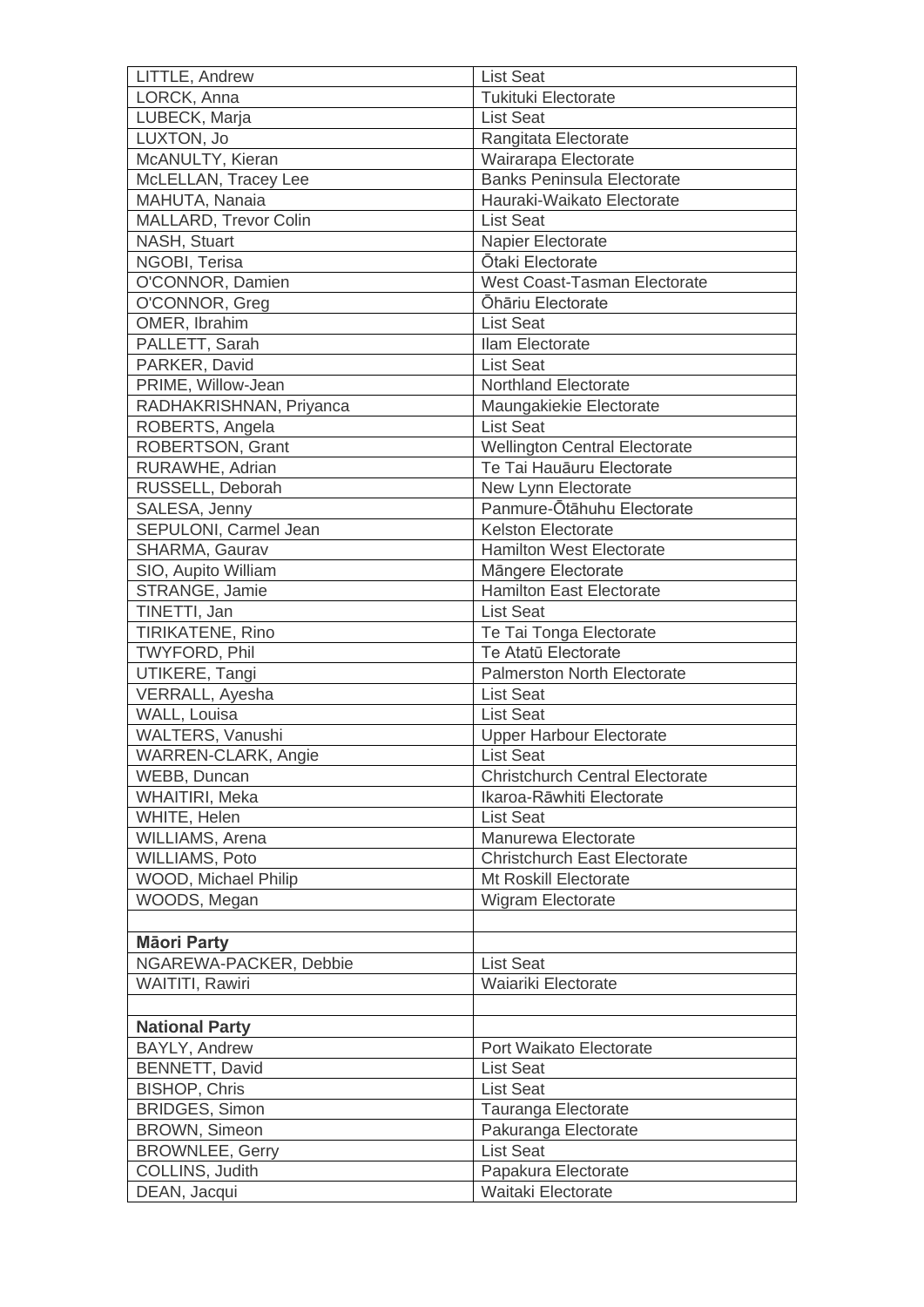| LORCK, Anna<br><b>Tukituki Electorate</b><br>LUBECK, Marja<br><b>List Seat</b><br>LUXTON, Jo<br>Rangitata Electorate<br>McANULTY, Kieran<br>Wairarapa Electorate<br><b>Banks Peninsula Electorate</b><br>McLELLAN, Tracey Lee<br>MAHUTA, Nanaia<br>Hauraki-Waikato Electorate<br>MALLARD, Trevor Colin<br><b>List Seat</b><br>NASH, Stuart<br>Napier Electorate<br>Ōtaki Electorate<br>NGOBI, Terisa<br>O'CONNOR, Damien<br><b>West Coast-Tasman Electorate</b><br>Ōhāriu Electorate<br>O'CONNOR, Greg<br>OMER, Ibrahim<br><b>List Seat</b><br>PALLETT, Sarah<br>Ilam Electorate<br>PARKER, David<br><b>List Seat</b><br>PRIME, Willow-Jean<br><b>Northland Electorate</b><br>Maungakiekie Electorate<br>RADHAKRISHNAN, Priyanca<br><b>List Seat</b><br>ROBERTS, Angela<br><b>ROBERTSON, Grant</b><br><b>Wellington Central Electorate</b><br>Te Tai Hauāuru Electorate<br>RURAWHE, Adrian<br>RUSSELL, Deborah<br>New Lynn Electorate<br>Panmure-Ōtāhuhu Electorate<br>SALESA, Jenny<br>SEPULONI, Carmel Jean<br>Kelston Electorate<br><b>Hamilton West Electorate</b><br>SHARMA, Gaurav<br>SIO, Aupito William<br>Mängere Electorate<br><b>Hamilton East Electorate</b><br>STRANGE, Jamie<br>TINETTI, Jan<br><b>List Seat</b><br>TIRIKATENE, Rino<br>Te Tai Tonga Electorate<br>Te Atatū Electorate<br>TWYFORD, Phil<br>UTIKERE, Tangi<br><b>Palmerston North Electorate</b><br>VERRALL, Ayesha<br><b>List Seat</b><br>WALL, Louisa<br><b>List Seat</b><br>WALTERS, Vanushi<br><b>Upper Harbour Electorate</b><br>WARREN-CLARK, Angie<br><b>List Seat</b><br><b>Christchurch Central Electorate</b><br>WEBB, Duncan<br>Ikaroa-Rāwhiti Electorate<br><b>WHAITIRI, Meka</b><br>WHITE, Helen<br><b>List Seat</b><br>WILLIAMS, Arena<br>Manurewa Electorate<br>WILLIAMS, Poto<br><b>Christchurch East Electorate</b><br>WOOD, Michael Philip<br>Mt Roskill Electorate<br>WOODS, Megan<br>Wigram Electorate<br><b>Māori Party</b><br>NGAREWA-PACKER, Debbie<br><b>List Seat</b><br>WAITITI, Rawiri<br>Waiariki Electorate<br><b>National Party</b><br>Port Waikato Electorate<br>BAYLY, Andrew<br><b>BENNETT, David</b><br><b>List Seat</b><br><b>BISHOP, Chris</b><br><b>List Seat</b><br><b>BRIDGES, Simon</b><br>Tauranga Electorate<br><b>BROWN, Simeon</b><br>Pakuranga Electorate<br><b>BROWNLEE, Gerry</b><br><b>List Seat</b><br>COLLINS, Judith<br>Papakura Electorate | LITTLE, Andrew | <b>List Seat</b>   |
|-----------------------------------------------------------------------------------------------------------------------------------------------------------------------------------------------------------------------------------------------------------------------------------------------------------------------------------------------------------------------------------------------------------------------------------------------------------------------------------------------------------------------------------------------------------------------------------------------------------------------------------------------------------------------------------------------------------------------------------------------------------------------------------------------------------------------------------------------------------------------------------------------------------------------------------------------------------------------------------------------------------------------------------------------------------------------------------------------------------------------------------------------------------------------------------------------------------------------------------------------------------------------------------------------------------------------------------------------------------------------------------------------------------------------------------------------------------------------------------------------------------------------------------------------------------------------------------------------------------------------------------------------------------------------------------------------------------------------------------------------------------------------------------------------------------------------------------------------------------------------------------------------------------------------------------------------------------------------------------------------------------------------------------------------------------------------------------------------------------------------------------------------------------------------------------------------------------------------------------------------------------------------------------------------------------------------------------------------------------------------------|----------------|--------------------|
|                                                                                                                                                                                                                                                                                                                                                                                                                                                                                                                                                                                                                                                                                                                                                                                                                                                                                                                                                                                                                                                                                                                                                                                                                                                                                                                                                                                                                                                                                                                                                                                                                                                                                                                                                                                                                                                                                                                                                                                                                                                                                                                                                                                                                                                                                                                                                                             |                |                    |
|                                                                                                                                                                                                                                                                                                                                                                                                                                                                                                                                                                                                                                                                                                                                                                                                                                                                                                                                                                                                                                                                                                                                                                                                                                                                                                                                                                                                                                                                                                                                                                                                                                                                                                                                                                                                                                                                                                                                                                                                                                                                                                                                                                                                                                                                                                                                                                             |                |                    |
|                                                                                                                                                                                                                                                                                                                                                                                                                                                                                                                                                                                                                                                                                                                                                                                                                                                                                                                                                                                                                                                                                                                                                                                                                                                                                                                                                                                                                                                                                                                                                                                                                                                                                                                                                                                                                                                                                                                                                                                                                                                                                                                                                                                                                                                                                                                                                                             |                |                    |
|                                                                                                                                                                                                                                                                                                                                                                                                                                                                                                                                                                                                                                                                                                                                                                                                                                                                                                                                                                                                                                                                                                                                                                                                                                                                                                                                                                                                                                                                                                                                                                                                                                                                                                                                                                                                                                                                                                                                                                                                                                                                                                                                                                                                                                                                                                                                                                             |                |                    |
|                                                                                                                                                                                                                                                                                                                                                                                                                                                                                                                                                                                                                                                                                                                                                                                                                                                                                                                                                                                                                                                                                                                                                                                                                                                                                                                                                                                                                                                                                                                                                                                                                                                                                                                                                                                                                                                                                                                                                                                                                                                                                                                                                                                                                                                                                                                                                                             |                |                    |
|                                                                                                                                                                                                                                                                                                                                                                                                                                                                                                                                                                                                                                                                                                                                                                                                                                                                                                                                                                                                                                                                                                                                                                                                                                                                                                                                                                                                                                                                                                                                                                                                                                                                                                                                                                                                                                                                                                                                                                                                                                                                                                                                                                                                                                                                                                                                                                             |                |                    |
|                                                                                                                                                                                                                                                                                                                                                                                                                                                                                                                                                                                                                                                                                                                                                                                                                                                                                                                                                                                                                                                                                                                                                                                                                                                                                                                                                                                                                                                                                                                                                                                                                                                                                                                                                                                                                                                                                                                                                                                                                                                                                                                                                                                                                                                                                                                                                                             |                |                    |
|                                                                                                                                                                                                                                                                                                                                                                                                                                                                                                                                                                                                                                                                                                                                                                                                                                                                                                                                                                                                                                                                                                                                                                                                                                                                                                                                                                                                                                                                                                                                                                                                                                                                                                                                                                                                                                                                                                                                                                                                                                                                                                                                                                                                                                                                                                                                                                             |                |                    |
|                                                                                                                                                                                                                                                                                                                                                                                                                                                                                                                                                                                                                                                                                                                                                                                                                                                                                                                                                                                                                                                                                                                                                                                                                                                                                                                                                                                                                                                                                                                                                                                                                                                                                                                                                                                                                                                                                                                                                                                                                                                                                                                                                                                                                                                                                                                                                                             |                |                    |
|                                                                                                                                                                                                                                                                                                                                                                                                                                                                                                                                                                                                                                                                                                                                                                                                                                                                                                                                                                                                                                                                                                                                                                                                                                                                                                                                                                                                                                                                                                                                                                                                                                                                                                                                                                                                                                                                                                                                                                                                                                                                                                                                                                                                                                                                                                                                                                             |                |                    |
|                                                                                                                                                                                                                                                                                                                                                                                                                                                                                                                                                                                                                                                                                                                                                                                                                                                                                                                                                                                                                                                                                                                                                                                                                                                                                                                                                                                                                                                                                                                                                                                                                                                                                                                                                                                                                                                                                                                                                                                                                                                                                                                                                                                                                                                                                                                                                                             |                |                    |
|                                                                                                                                                                                                                                                                                                                                                                                                                                                                                                                                                                                                                                                                                                                                                                                                                                                                                                                                                                                                                                                                                                                                                                                                                                                                                                                                                                                                                                                                                                                                                                                                                                                                                                                                                                                                                                                                                                                                                                                                                                                                                                                                                                                                                                                                                                                                                                             |                |                    |
|                                                                                                                                                                                                                                                                                                                                                                                                                                                                                                                                                                                                                                                                                                                                                                                                                                                                                                                                                                                                                                                                                                                                                                                                                                                                                                                                                                                                                                                                                                                                                                                                                                                                                                                                                                                                                                                                                                                                                                                                                                                                                                                                                                                                                                                                                                                                                                             |                |                    |
|                                                                                                                                                                                                                                                                                                                                                                                                                                                                                                                                                                                                                                                                                                                                                                                                                                                                                                                                                                                                                                                                                                                                                                                                                                                                                                                                                                                                                                                                                                                                                                                                                                                                                                                                                                                                                                                                                                                                                                                                                                                                                                                                                                                                                                                                                                                                                                             |                |                    |
|                                                                                                                                                                                                                                                                                                                                                                                                                                                                                                                                                                                                                                                                                                                                                                                                                                                                                                                                                                                                                                                                                                                                                                                                                                                                                                                                                                                                                                                                                                                                                                                                                                                                                                                                                                                                                                                                                                                                                                                                                                                                                                                                                                                                                                                                                                                                                                             |                |                    |
|                                                                                                                                                                                                                                                                                                                                                                                                                                                                                                                                                                                                                                                                                                                                                                                                                                                                                                                                                                                                                                                                                                                                                                                                                                                                                                                                                                                                                                                                                                                                                                                                                                                                                                                                                                                                                                                                                                                                                                                                                                                                                                                                                                                                                                                                                                                                                                             |                |                    |
|                                                                                                                                                                                                                                                                                                                                                                                                                                                                                                                                                                                                                                                                                                                                                                                                                                                                                                                                                                                                                                                                                                                                                                                                                                                                                                                                                                                                                                                                                                                                                                                                                                                                                                                                                                                                                                                                                                                                                                                                                                                                                                                                                                                                                                                                                                                                                                             |                |                    |
|                                                                                                                                                                                                                                                                                                                                                                                                                                                                                                                                                                                                                                                                                                                                                                                                                                                                                                                                                                                                                                                                                                                                                                                                                                                                                                                                                                                                                                                                                                                                                                                                                                                                                                                                                                                                                                                                                                                                                                                                                                                                                                                                                                                                                                                                                                                                                                             |                |                    |
|                                                                                                                                                                                                                                                                                                                                                                                                                                                                                                                                                                                                                                                                                                                                                                                                                                                                                                                                                                                                                                                                                                                                                                                                                                                                                                                                                                                                                                                                                                                                                                                                                                                                                                                                                                                                                                                                                                                                                                                                                                                                                                                                                                                                                                                                                                                                                                             |                |                    |
|                                                                                                                                                                                                                                                                                                                                                                                                                                                                                                                                                                                                                                                                                                                                                                                                                                                                                                                                                                                                                                                                                                                                                                                                                                                                                                                                                                                                                                                                                                                                                                                                                                                                                                                                                                                                                                                                                                                                                                                                                                                                                                                                                                                                                                                                                                                                                                             |                |                    |
|                                                                                                                                                                                                                                                                                                                                                                                                                                                                                                                                                                                                                                                                                                                                                                                                                                                                                                                                                                                                                                                                                                                                                                                                                                                                                                                                                                                                                                                                                                                                                                                                                                                                                                                                                                                                                                                                                                                                                                                                                                                                                                                                                                                                                                                                                                                                                                             |                |                    |
|                                                                                                                                                                                                                                                                                                                                                                                                                                                                                                                                                                                                                                                                                                                                                                                                                                                                                                                                                                                                                                                                                                                                                                                                                                                                                                                                                                                                                                                                                                                                                                                                                                                                                                                                                                                                                                                                                                                                                                                                                                                                                                                                                                                                                                                                                                                                                                             |                |                    |
|                                                                                                                                                                                                                                                                                                                                                                                                                                                                                                                                                                                                                                                                                                                                                                                                                                                                                                                                                                                                                                                                                                                                                                                                                                                                                                                                                                                                                                                                                                                                                                                                                                                                                                                                                                                                                                                                                                                                                                                                                                                                                                                                                                                                                                                                                                                                                                             |                |                    |
|                                                                                                                                                                                                                                                                                                                                                                                                                                                                                                                                                                                                                                                                                                                                                                                                                                                                                                                                                                                                                                                                                                                                                                                                                                                                                                                                                                                                                                                                                                                                                                                                                                                                                                                                                                                                                                                                                                                                                                                                                                                                                                                                                                                                                                                                                                                                                                             |                |                    |
|                                                                                                                                                                                                                                                                                                                                                                                                                                                                                                                                                                                                                                                                                                                                                                                                                                                                                                                                                                                                                                                                                                                                                                                                                                                                                                                                                                                                                                                                                                                                                                                                                                                                                                                                                                                                                                                                                                                                                                                                                                                                                                                                                                                                                                                                                                                                                                             |                |                    |
|                                                                                                                                                                                                                                                                                                                                                                                                                                                                                                                                                                                                                                                                                                                                                                                                                                                                                                                                                                                                                                                                                                                                                                                                                                                                                                                                                                                                                                                                                                                                                                                                                                                                                                                                                                                                                                                                                                                                                                                                                                                                                                                                                                                                                                                                                                                                                                             |                |                    |
|                                                                                                                                                                                                                                                                                                                                                                                                                                                                                                                                                                                                                                                                                                                                                                                                                                                                                                                                                                                                                                                                                                                                                                                                                                                                                                                                                                                                                                                                                                                                                                                                                                                                                                                                                                                                                                                                                                                                                                                                                                                                                                                                                                                                                                                                                                                                                                             |                |                    |
|                                                                                                                                                                                                                                                                                                                                                                                                                                                                                                                                                                                                                                                                                                                                                                                                                                                                                                                                                                                                                                                                                                                                                                                                                                                                                                                                                                                                                                                                                                                                                                                                                                                                                                                                                                                                                                                                                                                                                                                                                                                                                                                                                                                                                                                                                                                                                                             |                |                    |
|                                                                                                                                                                                                                                                                                                                                                                                                                                                                                                                                                                                                                                                                                                                                                                                                                                                                                                                                                                                                                                                                                                                                                                                                                                                                                                                                                                                                                                                                                                                                                                                                                                                                                                                                                                                                                                                                                                                                                                                                                                                                                                                                                                                                                                                                                                                                                                             |                |                    |
|                                                                                                                                                                                                                                                                                                                                                                                                                                                                                                                                                                                                                                                                                                                                                                                                                                                                                                                                                                                                                                                                                                                                                                                                                                                                                                                                                                                                                                                                                                                                                                                                                                                                                                                                                                                                                                                                                                                                                                                                                                                                                                                                                                                                                                                                                                                                                                             |                |                    |
|                                                                                                                                                                                                                                                                                                                                                                                                                                                                                                                                                                                                                                                                                                                                                                                                                                                                                                                                                                                                                                                                                                                                                                                                                                                                                                                                                                                                                                                                                                                                                                                                                                                                                                                                                                                                                                                                                                                                                                                                                                                                                                                                                                                                                                                                                                                                                                             |                |                    |
|                                                                                                                                                                                                                                                                                                                                                                                                                                                                                                                                                                                                                                                                                                                                                                                                                                                                                                                                                                                                                                                                                                                                                                                                                                                                                                                                                                                                                                                                                                                                                                                                                                                                                                                                                                                                                                                                                                                                                                                                                                                                                                                                                                                                                                                                                                                                                                             |                |                    |
|                                                                                                                                                                                                                                                                                                                                                                                                                                                                                                                                                                                                                                                                                                                                                                                                                                                                                                                                                                                                                                                                                                                                                                                                                                                                                                                                                                                                                                                                                                                                                                                                                                                                                                                                                                                                                                                                                                                                                                                                                                                                                                                                                                                                                                                                                                                                                                             |                |                    |
|                                                                                                                                                                                                                                                                                                                                                                                                                                                                                                                                                                                                                                                                                                                                                                                                                                                                                                                                                                                                                                                                                                                                                                                                                                                                                                                                                                                                                                                                                                                                                                                                                                                                                                                                                                                                                                                                                                                                                                                                                                                                                                                                                                                                                                                                                                                                                                             |                |                    |
|                                                                                                                                                                                                                                                                                                                                                                                                                                                                                                                                                                                                                                                                                                                                                                                                                                                                                                                                                                                                                                                                                                                                                                                                                                                                                                                                                                                                                                                                                                                                                                                                                                                                                                                                                                                                                                                                                                                                                                                                                                                                                                                                                                                                                                                                                                                                                                             |                |                    |
|                                                                                                                                                                                                                                                                                                                                                                                                                                                                                                                                                                                                                                                                                                                                                                                                                                                                                                                                                                                                                                                                                                                                                                                                                                                                                                                                                                                                                                                                                                                                                                                                                                                                                                                                                                                                                                                                                                                                                                                                                                                                                                                                                                                                                                                                                                                                                                             |                |                    |
|                                                                                                                                                                                                                                                                                                                                                                                                                                                                                                                                                                                                                                                                                                                                                                                                                                                                                                                                                                                                                                                                                                                                                                                                                                                                                                                                                                                                                                                                                                                                                                                                                                                                                                                                                                                                                                                                                                                                                                                                                                                                                                                                                                                                                                                                                                                                                                             |                |                    |
|                                                                                                                                                                                                                                                                                                                                                                                                                                                                                                                                                                                                                                                                                                                                                                                                                                                                                                                                                                                                                                                                                                                                                                                                                                                                                                                                                                                                                                                                                                                                                                                                                                                                                                                                                                                                                                                                                                                                                                                                                                                                                                                                                                                                                                                                                                                                                                             |                |                    |
|                                                                                                                                                                                                                                                                                                                                                                                                                                                                                                                                                                                                                                                                                                                                                                                                                                                                                                                                                                                                                                                                                                                                                                                                                                                                                                                                                                                                                                                                                                                                                                                                                                                                                                                                                                                                                                                                                                                                                                                                                                                                                                                                                                                                                                                                                                                                                                             |                |                    |
|                                                                                                                                                                                                                                                                                                                                                                                                                                                                                                                                                                                                                                                                                                                                                                                                                                                                                                                                                                                                                                                                                                                                                                                                                                                                                                                                                                                                                                                                                                                                                                                                                                                                                                                                                                                                                                                                                                                                                                                                                                                                                                                                                                                                                                                                                                                                                                             |                |                    |
|                                                                                                                                                                                                                                                                                                                                                                                                                                                                                                                                                                                                                                                                                                                                                                                                                                                                                                                                                                                                                                                                                                                                                                                                                                                                                                                                                                                                                                                                                                                                                                                                                                                                                                                                                                                                                                                                                                                                                                                                                                                                                                                                                                                                                                                                                                                                                                             |                |                    |
|                                                                                                                                                                                                                                                                                                                                                                                                                                                                                                                                                                                                                                                                                                                                                                                                                                                                                                                                                                                                                                                                                                                                                                                                                                                                                                                                                                                                                                                                                                                                                                                                                                                                                                                                                                                                                                                                                                                                                                                                                                                                                                                                                                                                                                                                                                                                                                             |                |                    |
|                                                                                                                                                                                                                                                                                                                                                                                                                                                                                                                                                                                                                                                                                                                                                                                                                                                                                                                                                                                                                                                                                                                                                                                                                                                                                                                                                                                                                                                                                                                                                                                                                                                                                                                                                                                                                                                                                                                                                                                                                                                                                                                                                                                                                                                                                                                                                                             |                |                    |
|                                                                                                                                                                                                                                                                                                                                                                                                                                                                                                                                                                                                                                                                                                                                                                                                                                                                                                                                                                                                                                                                                                                                                                                                                                                                                                                                                                                                                                                                                                                                                                                                                                                                                                                                                                                                                                                                                                                                                                                                                                                                                                                                                                                                                                                                                                                                                                             |                |                    |
|                                                                                                                                                                                                                                                                                                                                                                                                                                                                                                                                                                                                                                                                                                                                                                                                                                                                                                                                                                                                                                                                                                                                                                                                                                                                                                                                                                                                                                                                                                                                                                                                                                                                                                                                                                                                                                                                                                                                                                                                                                                                                                                                                                                                                                                                                                                                                                             |                |                    |
|                                                                                                                                                                                                                                                                                                                                                                                                                                                                                                                                                                                                                                                                                                                                                                                                                                                                                                                                                                                                                                                                                                                                                                                                                                                                                                                                                                                                                                                                                                                                                                                                                                                                                                                                                                                                                                                                                                                                                                                                                                                                                                                                                                                                                                                                                                                                                                             |                |                    |
|                                                                                                                                                                                                                                                                                                                                                                                                                                                                                                                                                                                                                                                                                                                                                                                                                                                                                                                                                                                                                                                                                                                                                                                                                                                                                                                                                                                                                                                                                                                                                                                                                                                                                                                                                                                                                                                                                                                                                                                                                                                                                                                                                                                                                                                                                                                                                                             |                |                    |
|                                                                                                                                                                                                                                                                                                                                                                                                                                                                                                                                                                                                                                                                                                                                                                                                                                                                                                                                                                                                                                                                                                                                                                                                                                                                                                                                                                                                                                                                                                                                                                                                                                                                                                                                                                                                                                                                                                                                                                                                                                                                                                                                                                                                                                                                                                                                                                             |                |                    |
|                                                                                                                                                                                                                                                                                                                                                                                                                                                                                                                                                                                                                                                                                                                                                                                                                                                                                                                                                                                                                                                                                                                                                                                                                                                                                                                                                                                                                                                                                                                                                                                                                                                                                                                                                                                                                                                                                                                                                                                                                                                                                                                                                                                                                                                                                                                                                                             |                |                    |
|                                                                                                                                                                                                                                                                                                                                                                                                                                                                                                                                                                                                                                                                                                                                                                                                                                                                                                                                                                                                                                                                                                                                                                                                                                                                                                                                                                                                                                                                                                                                                                                                                                                                                                                                                                                                                                                                                                                                                                                                                                                                                                                                                                                                                                                                                                                                                                             |                |                    |
|                                                                                                                                                                                                                                                                                                                                                                                                                                                                                                                                                                                                                                                                                                                                                                                                                                                                                                                                                                                                                                                                                                                                                                                                                                                                                                                                                                                                                                                                                                                                                                                                                                                                                                                                                                                                                                                                                                                                                                                                                                                                                                                                                                                                                                                                                                                                                                             |                |                    |
|                                                                                                                                                                                                                                                                                                                                                                                                                                                                                                                                                                                                                                                                                                                                                                                                                                                                                                                                                                                                                                                                                                                                                                                                                                                                                                                                                                                                                                                                                                                                                                                                                                                                                                                                                                                                                                                                                                                                                                                                                                                                                                                                                                                                                                                                                                                                                                             |                |                    |
|                                                                                                                                                                                                                                                                                                                                                                                                                                                                                                                                                                                                                                                                                                                                                                                                                                                                                                                                                                                                                                                                                                                                                                                                                                                                                                                                                                                                                                                                                                                                                                                                                                                                                                                                                                                                                                                                                                                                                                                                                                                                                                                                                                                                                                                                                                                                                                             |                |                    |
|                                                                                                                                                                                                                                                                                                                                                                                                                                                                                                                                                                                                                                                                                                                                                                                                                                                                                                                                                                                                                                                                                                                                                                                                                                                                                                                                                                                                                                                                                                                                                                                                                                                                                                                                                                                                                                                                                                                                                                                                                                                                                                                                                                                                                                                                                                                                                                             |                |                    |
|                                                                                                                                                                                                                                                                                                                                                                                                                                                                                                                                                                                                                                                                                                                                                                                                                                                                                                                                                                                                                                                                                                                                                                                                                                                                                                                                                                                                                                                                                                                                                                                                                                                                                                                                                                                                                                                                                                                                                                                                                                                                                                                                                                                                                                                                                                                                                                             | DEAN, Jacqui   | Waitaki Electorate |